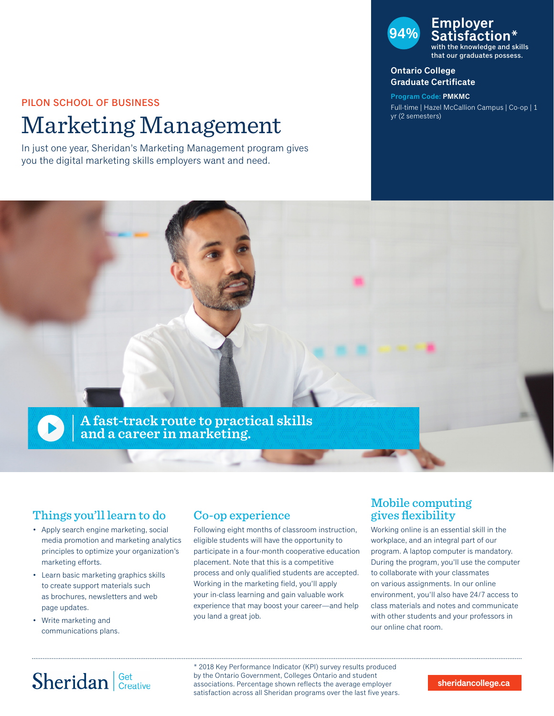#### PILON SCHOOL OF BUSINESS

# Marketing Management

In just one year, Sheridan's Marketing Management program gives you the digital marketing skills employers want and need.

#### **94% Employer Satisfaction\*** with the knowledge and skills that our graduates possess.

**Ontario College** 

## **Graduate Certificate**

**Program Code: PMKMC** Full-time | Hazel McCallion Campus | Co-op | 1 yr (2 semesters)



## Things you'll learn to do

- Apply search engine marketing, social media promotion and marketing analytics principles to optimize your organization's marketing efforts.
- Learn basic marketing graphics skills to create support materials such as brochures, newsletters and web page updates.
- Write marketing and communications plans.

### Co-op experience

Following eight months of classroom instruction, eligible students will have the opportunity to participate in a four-month cooperative education placement. Note that this is a competitive process and only qualified students are accepted. Working in the marketing field, you'll apply your in-class learning and gain valuable work experience that may boost your career—and help you land a great job.

### Mobile computing gives flexibility

Working online is an essential skill in the workplace, and an integral part of our program. A laptop computer is mandatory. During the program, you'll use the computer to collaborate with your classmates on various assignments. In our online environment, you'll also have 24/7 access to class materials and notes and communicate with other students and your professors in our online chat room.

# Sheridan Get Creative

\* 2018 Key Performance Indicator (KPI) survey results produced by the Ontario Government, Colleges Ontario and student associations. Percentage shown reflects the average employer satisfaction across all Sheridan programs over the last five years.